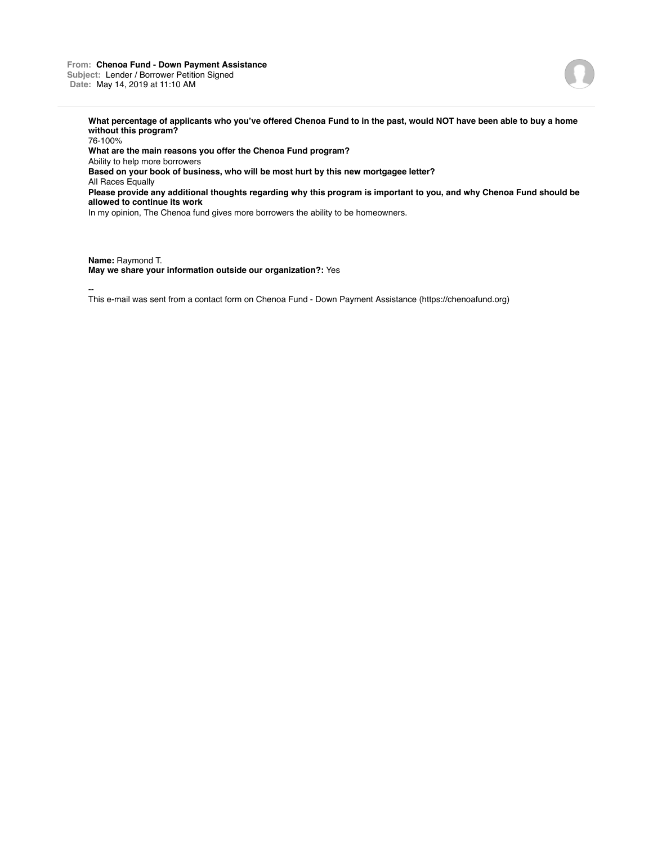## **From: Chenoa Fund - Down Payment Assistance Subject:** Lender / Borrower Petition Signed **Date:** May 14, 2019 at 11:10 AM



**What percentage of applicants who you've offered Chenoa Fund to in the past, would NOT have been able to buy a home without this program?**

76-100% **What are the main reasons you offer the Chenoa Fund program?** Ability to help more borrowers **Based on your book of business, who will be most hurt by this new mortgagee letter?** All Races Equally **Please provide any additional thoughts regarding why this program is important to you, and why Chenoa Fund should be allowed to continue its work** In my opinion, The Chenoa fund gives more borrowers the ability to be homeowners.

**Name:** Raymond T. **May we share your information outside our organization?:** Yes

--

This e-mail was sent from a contact form on Chenoa Fund - Down Payment Assistance (https://chenoafund.org)